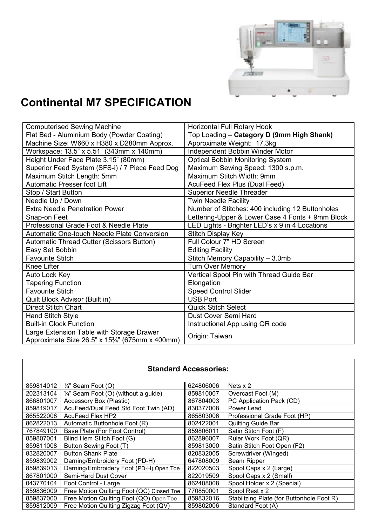

## **Continental M7 SPECIFICATION**

 $\mathbf{r}$ 

| <b>Computerised Sewing Machine</b>                                                           | Horizontal Full Rotary Hook                      |  |
|----------------------------------------------------------------------------------------------|--------------------------------------------------|--|
| Flat Bed - Aluminium Body (Powder Coating)                                                   | Top Loading - Category D (9mm High Shank)        |  |
| Machine Size: W660 x H380 x D280mm Approx.                                                   | Approximate Weight: 17.3kg                       |  |
| Workspace: 13.5" x 5.51" (343mm x 140mm)                                                     | Independent Bobbin Winder Motor                  |  |
| Height Under Face Plate 3.15" (80mm)                                                         | <b>Optical Bobbin Monitoring System</b>          |  |
| Superior Feed System (SFS-i) / 7 Piece Feed Dog                                              | Maximum Sewing Speed: 1300 s.p.m.                |  |
| Maximum Stitch Length: 5mm                                                                   | Maximum Stitch Width: 9mm                        |  |
| <b>Automatic Presser foot Lift</b>                                                           | AcuFeed Flex Plus (Dual Feed)                    |  |
| Stop / Start Button                                                                          | <b>Superior Needle Threader</b>                  |  |
| Needle Up / Down                                                                             | <b>Twin Needle Facility</b>                      |  |
| <b>Extra Needle Penetration Power</b>                                                        | Number of Stitches: 400 including 12 Buttonholes |  |
| Snap-on Feet                                                                                 | Lettering-Upper & Lower Case 4 Fonts + 9mm Block |  |
| Professional Grade Foot & Needle Plate                                                       | LED Lights - Brighter LED's x 9 in 4 Locations   |  |
| Automatic One-touch Needle Plate Conversion                                                  | Stitch Display Key                               |  |
| <b>Automatic Thread Cutter (Scissors Button)</b>                                             | Full Colour 7" HD Screen                         |  |
| Easy Set Bobbin                                                                              | <b>Editing Facility</b>                          |  |
| <b>Favourite Stitch</b>                                                                      | Stitch Memory Capability - 3.0mb                 |  |
| Knee Lifter                                                                                  | <b>Turn Over Memory</b>                          |  |
| Auto Lock Key                                                                                | Vertical Spool Pin with Thread Guide Bar         |  |
| <b>Tapering Function</b>                                                                     | Elongation                                       |  |
| <b>Favourite Stitch</b>                                                                      | <b>Speed Control Slider</b>                      |  |
| Quilt Block Advisor (Built in)                                                               | <b>USB Port</b>                                  |  |
| Direct Stitch Chart                                                                          | <b>Quick Stitch Select</b>                       |  |
| <b>Hand Stitch Style</b>                                                                     | Dust Cover Semi Hard                             |  |
| <b>Built-in Clock Function</b>                                                               | Instructional App using QR code                  |  |
| Large Extension Table with Storage Drawer<br>Approximate Size 26.5" x 153/4" (675mm x 400mm) | Origin: Taiwan                                   |  |

| <b>Standard Accessories:</b> |                                                 |           |                                           |  |  |
|------------------------------|-------------------------------------------------|-----------|-------------------------------------------|--|--|
| 859814012                    | $\frac{1}{4}$ " Seam Foot (O)                   | 624806006 | Nets x 2                                  |  |  |
| 202313104                    | $\frac{1}{4}$ " Seam Foot (O) (without a guide) | 859810007 | Overcast Foot (M)                         |  |  |
| 866801007                    | Accessory Box (Plastic)                         | 867804003 | PC Application Pack (CD)                  |  |  |
| 859819017                    | AcuFeed/Dual Feed Std Foot Twin (AD)            | 830377008 | Power Lead                                |  |  |
| 865522008                    | AcuFeed Flex HP2                                | 865803006 | Professional Grade Foot (HP)              |  |  |
| 862822013                    | Automatic Buttonhole Foot (R)                   | 802422001 | Quilting Guide Bar                        |  |  |
| 767849100                    | Base Plate (For Foot Control)                   | 859806011 | Satin Stitch Foot (F)                     |  |  |
| 859807001                    | Blind Hem Stitch Foot (G)                       | 862896007 | Ruler Work Foot (QR)                      |  |  |
| 859811008                    | Button Sewing Foot (T)                          | 859813000 | Satin Stitch Foot Open (F2)               |  |  |
| 832820007                    | <b>Button Shank Plate</b>                       | 820832005 | Screwdriver (Winged)                      |  |  |
| 859839002                    | Darning/Embroidery Foot (PD-H)                  | 647808009 | Seam Ripper                               |  |  |
| 859839013                    | Darning/Embroidery Foot (PD-H) Open Toe         | 822020503 | Spool Caps x 2 (Large)                    |  |  |
| 867801000                    | Semi-Hard Dust Cover                            | 822019509 | Spool Caps x 2 (Small)                    |  |  |
| 043770104                    | Foot Control - Large                            | 862408008 | Spool Holder x 2 (Special)                |  |  |
| 859836009                    | Free Motion Quilting Foot (QC) Closed Toe       | 770850001 | Spool Rest x 2                            |  |  |
| 859837000                    | Free Motion Quilting Foot (QO) Open Toe         | 859832016 | Stabilizing Plate (for Buttonhole Foot R) |  |  |
| 859812009                    | Free Motion Quilting Zigzag Foot (QV)           | 859802006 | Standard Foot (A)                         |  |  |